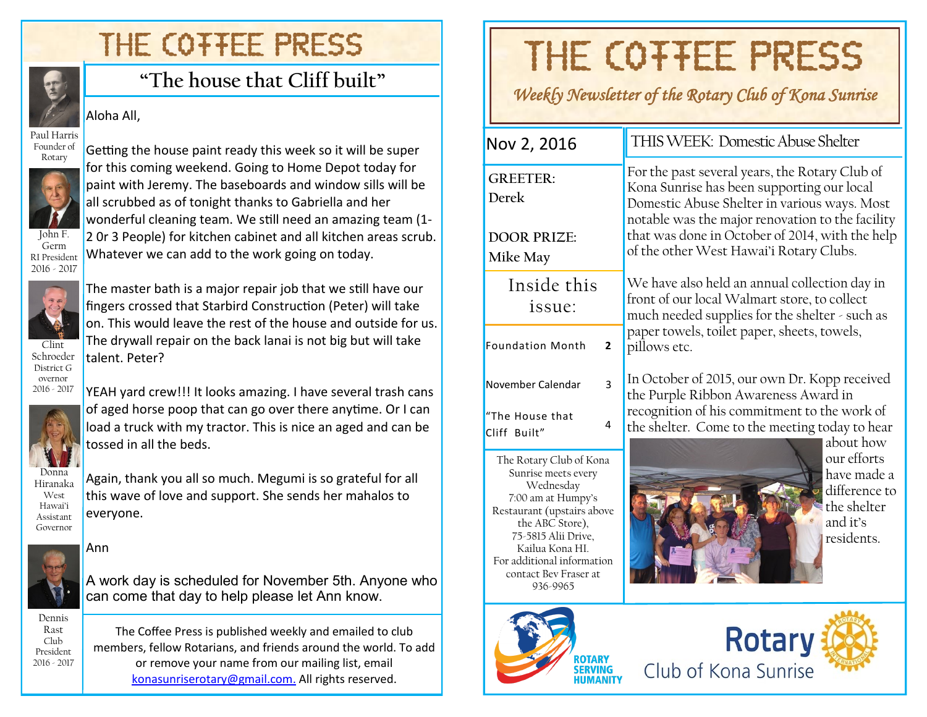## THE COTTEE PRESS



## **"The house that Cliff built"**

#### Aloha All,

Paul Harris Founder of Rotary



Germ RI President 2016 - 2017 Getting the house paint ready this week so it will be super for this coming weekend. Going to Home Depot today for paint with Jeremy. The baseboards and window sills will be all scrubbed as of tonight thanks to Gabriella and her wonderful cleaning team. We still need an amazing team (1- 2 0r 3 People) for kitchen cabinet and all kitchen areas scrub. Whatever we can add to the work going on today.



Schroeder District G overnor 2016 - 2017

The master bath is a major repair job that we still have our fingers crossed that Starbird Construction (Peter) will take on. This would leave the rest of the house and outside for us. The drywall repair on the back lanai is not big but will take talent. Peter?



YEAH yard crew!!! It looks amazing. I have several trash cans of aged horse poop that can go over there anytime. Or I can load a truck with my tractor. This is nice an aged and can be tossed in all the beds.



Again, thank you all so much. Megumi is so grateful for all this wave of love and support. She sends her mahalos to everyone.

### Ann



A work day is scheduled for November 5th. Anyone who can come that day to help please let Ann know.

Dennis Rast Club President 2016 - 2017

The Coffee Press is published weekly and emailed to club members, fellow Rotarians, and friends around the world. To add or remove your name from our mailing list, email [konasunriserotary@gmail.com.](mailto:konasunriserotary@gmail.com.) All rights reserved.

# THE COTTEE PRESS

*Weekly Newsletter of the Rotary Club of Kona Sunrise* 

| Nov 2, 2016                                                    | THIS WEEK: Domestic Abuse Shelter                                                                                                                                                                                                                                                              |  |  |  |
|----------------------------------------------------------------|------------------------------------------------------------------------------------------------------------------------------------------------------------------------------------------------------------------------------------------------------------------------------------------------|--|--|--|
| <b>GREETER:</b><br>Derek<br><b>DOOR PRIZE:</b><br>Mike May     | For the past several years, the Rotary Club of<br>Kona Sunrise has been supporting our local<br>Domestic Abuse Shelter in various ways. Most<br>notable was the major renovation to the facility<br>that was done in October of 2014, with the help<br>of the other West Hawai'i Rotary Clubs. |  |  |  |
| Inside this<br>issue:                                          | We have also held an annual collection day in<br>front of our local Walmart store, to collect<br>much needed supplies for the shelter - such as                                                                                                                                                |  |  |  |
| <b>Foundation Month</b><br>$\overline{2}$                      | paper towels, toilet paper, sheets, towels,<br>pillows etc.                                                                                                                                                                                                                                    |  |  |  |
| 3<br>November Calendar<br>"The House that<br>4<br>Cliff Built" | In October of 2015, our own Dr. Kopp received<br>the Purple Ribbon Awareness Award in<br>recognition of his commitment to the work of<br>the shelter. Come to the meeting today to hear<br>about how                                                                                           |  |  |  |

The Rotary Club of Kona Sunrise meets every Wednesday 7:00 am at Humpy's Restaurant (upstairs above the ABC Store), 75-5815 Alii Drive, Kailua Kona HI. For additional information contact Bev Fraser at 936-9965



our efforts have made a difference to the shelter and it's residents.